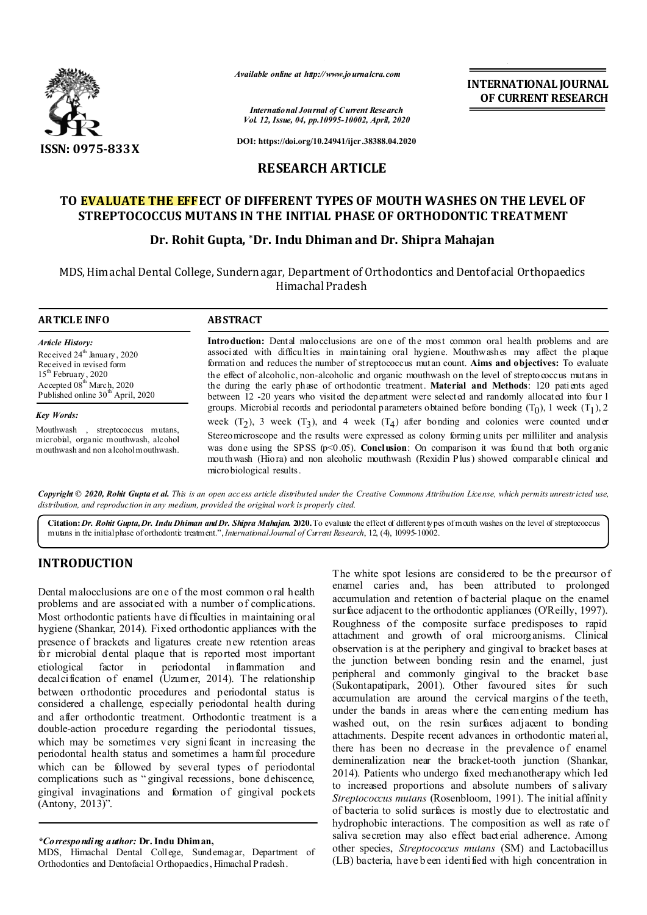

*Available online at http://www.journalcra.com*

*International Journal of Current Research Vol. 12, Issue, 04, pp.10995-10002, April, 2020* **INTERNATIONAL JOURNAL OF CURRENT RESEARCH**

**DOI: https://doi.org/10.24941/ijcr.38388.04.2020**

### **RESEARCH ARTICLE**

# **TO EVALUATE THE EFFECT OF DIFFERENT TYPES OF MOUTH WASHES ON THE LEVEL OF STREPTOCOCCUS MUTANS IN THE INITIAL PHASE OF ORTHODONTIC TREATMENT**

## **Dr. Rohit Gupta, \*Dr. Indu Dhiman and Dr. Shipra Mahajan**

MDS, Him achal Dental College, Sundern agar, Department of Orthodontics and Dentofacial Orthopaedics Himachal Pradesh

| <b>ARTICLE INFO</b>                           | <b>ABSTRACT</b>                                                                                           |
|-----------------------------------------------|-----------------------------------------------------------------------------------------------------------|
| <b>Article History:</b>                       | <b>Introduction:</b> Dental malocclusions are one of the most common oral health problems and are         |
| Received $24^{\text{th}}$ January, 2020       | associated with difficulties in maintaining oral hygiene. Mouthwashes may affect the plaque               |
| Received in revised form                      | formation and reduces the number of streptococcus mutan count. Aims and objectives: To evaluate           |
| $15th$ February, 2020                         | the effect of alcoholic, non-alcoholic and organic mouthwash on the level of strepto coccus mutans in     |
| Accepted 08 <sup>th</sup> March, 2020         | the during the early phase of orthodontic treatment. Material and Methods: 120 patients aged              |
| Published online 30 <sup>th</sup> April, 2020 | between 12 -20 years who visited the department were selected and randomly allocated into four l          |
| Key Words:                                    | groups. Microbial records and periodontal parameters obtained before bonding $(T_0)$ , 1 week $(T_1)$ , 2 |
| Mouthwash,                                    | week $(T_2)$ , 3 week $(T_3)$ , and 4 week $(T_4)$ after bonding and colonies were counted under          |
| streptococcus mutans.                         | Stereo microscope and the results were expressed as colony forming units per milliliter and analysis      |
| microbal, organic mouthwash, alcohol          | was done using the SPSS $(p<0.05)$ . Conclusion: On comparison it was found that both organic             |
| mouthwash and non a lcohol mouthwash.         | mouth wash (Hiora) and non-alcoholic mouthwash (Rexidin Plus) showed comparable clinical and              |

Copyright © 2020, Rohit Gupta et al. This is an open access article distributed under the Creative Commons Attribution License, which permits unrestricted use, *distribution, and reproduction in any medium, provided the original work is properly cited.*

microbiological results.

**Citation:***Dr. Rohit Gupta, Dr. Indu Dhiman and Dr. Shipra Mahajan.* **2020.**To evaluate the effect of different types of mouth washes on the level of streptococcus mutans in the initial phase of orthodontic treatment.",*InternationalJournal of Current Research*, 12, (4), 10995-10002.

## **INTRODUCTION**

Dental malocclusions are one of the most common o ral health problems and are associated with a number of complications. Most orthodontic patients have difficulties in maintaining oral hygiene (Shankar, 2014). Fixed orthodontic appliances with the presence of brackets and ligatures create new retention areas for microbial dental plaque that is reported most important etiological factor in periodontal inflammation and etiological factor in periodontal inflammation and decalcification of enamel (Uzumer, 2014). The relationship between orthodontic procedures and periodontal status is considered a challenge, especially periodontal health during and after orthodontic treatment. Orthodontic treatment is a double-action procedure regarding the periodontal tissues, which may be sometimes very signi ficant in increasing the periodontal health status and sometimes a harmful procedure which can be followed by several types of periodontal complications such as " gingival recessions, bone dehiscence, gingival invaginations and formation of gingival pockets  $[Antony, 2013]$ ".

#### *\*Corresponding author:* **Dr. Indu Dhiman,**

MDS, Himachal Dental College, Sundernagar, Department of Orthodontics and Dentofacial Orthopaedics, Himachal Pradesh.

The white spot lesions are considered to be the precursor of enamel caries and, has been attributed to prolonged accumulation and retention of bacterial plaque on the enamel surface adjacent to the orthodontic appliances (O'Reilly, 1997). Roughness of the composite surface predisposes to rapid attachment and growth of oral microorganisms. Clinical observation is at the periphery and gingival to bracket bases at the junction between bonding resin and the enamel, just peripheral and commonly gingival to the bracket base (Sukontapatipark, 2001). Other favoured sites for such accumulation are around the cervical margins of the teeth, under the bands in areas where the cementing medium has washed out, on the resin surfaces adjacent to bonding attachments. Despite recent advances in orthodontic material, there has been no decrease in the prevalence of enamel demineralization near the bracket-tooth junction (Shankar, 2014). Patients who undergo fixed mechanotherapy which led to increased proportions and absolute numbers of salivary *Streptococcus mutans* (Rosenbloom, 1991). The initial affinity of bacteria to solid surfaces is mostly due to electrostatic and hydrophobic interactions. The composition as well as rate of saliva secretion may also effect bacterial adherence. Among other species, *Streptococcus mutans* (SM) and Lactobacillus (LB) bacteria, have b een identified with high concentration in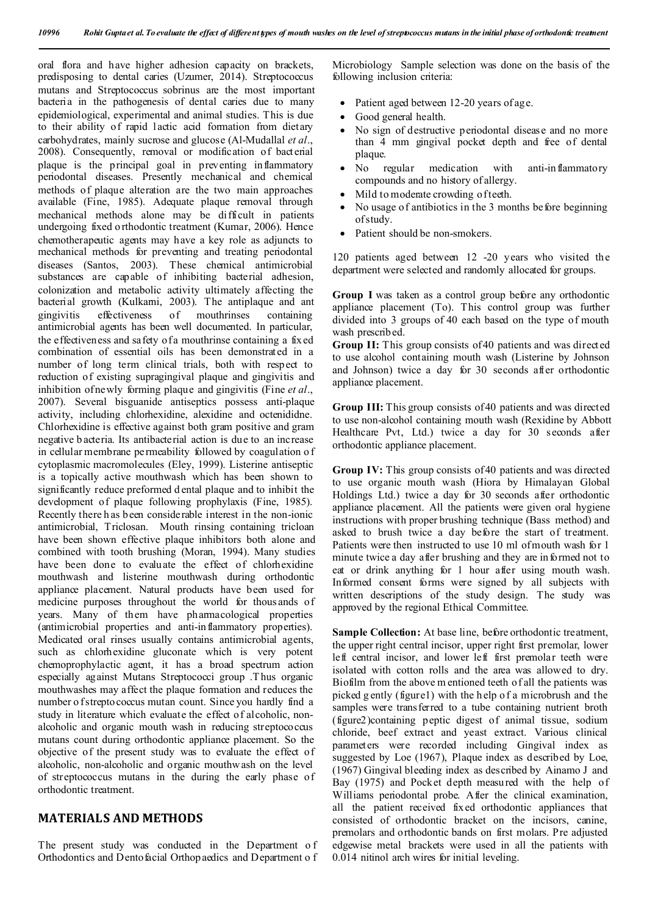oral flora and have higher adhesion capacity on brackets, predisposing to dental caries (Uzumer, 2014). Streptococcus mutans and Streptococcus sobrinus are the most important bacteria in the pathogenesis of dental caries due to many epidemiological, experimental and animal studies. This is due to their ability of rapid lactic acid formation from dietary carbohydrates, mainly sucrose and glucose (Al-Mudallal *et al*., 2008). Consequently, removal or modification of bacterial plaque is the principal goal in preventing inflammatory periodontal diseases. Presently mechanical and chemical methods of plaque alteration are the two main approaches available (Fine, 1985). Adequate plaque removal through mechanical methods alone may be difficult in patients undergoing fixed o rthodontic treatment (Kumar, 2006). Hence chemotherapeutic agents may have a key role as adjuncts to mechanical methods for preventing and treating periodontal diseases (Santos, 2003). These chemical antimicrobial substances are capable of inhibiting bacterial adhesion, colonization and metabolic activity ultimately affecting the bacterial growth (Kulkami, 2003). The antiplaque and ant gingivitis effectiveness of mouthrinses containing antimicrobial agents has been well documented. In particular, the effectiveness and safety of a mouthrinse containing a fixed combination of essential oils has been demonstrated in a number of long term clinical trials, both with respect to reduction of existing supragingival plaque and gingivitis and inhibition of newly forming plaque and gingivitis (Fine *et al*., 2007). Several bisguanide antiseptics possess anti-plaque activity, including chlorhexidine, alexidine and octenididne. Chlorhexidine is effective against both gram positive and gram negative b acteria. Its antibacterial action is due to an increase in cellular membrane permeability followed by coagulation o f cytoplasmic macromolecules (Eley, 1999). Listerine antiseptic is a topically active mouthwash which has been shown to significantly reduce preformed d ental plaque and to inhibit the development of plaque following prophylaxis (Fine, 1985). Recently there h as been considerable interest in the non-ionic antimicrobial, Triclosan. Mouth rinsing containing tricloan have been shown effective plaque inhibitors both alone and combined with tooth brushing (Moran, 1994). Many studies have been done to evaluate the effect of chlorhexidine mouthwash and listerine mouthwash during orthodontic appliance placement. Natural products have been used for medicine purposes throughout the world for thous ands of years. Many of them have pharmacological properties (antimicrobial properties and anti-inflammatory properties). Medicated oral rinses usually contains antimicrobial agents, such as chlorhexidine gluconate which is very potent chemoprophylactic agent, it has a broad spectrum action especially against Mutans Streptococci group .T hus organic mouthwashes may affect the plaque formation and reduces the number o f strepto coccus mutan count. Since you hardly find a study in literature which evaluate the effect of alcoholic, nonalcoholic and organic mouth wash in reducing streptococcus mutans count during orthodontic appliance placement. So the objective of the present study was to evaluate the effect of alcoholic, non-alcoholic and organic mouthwash on the level of streptococcus mutans in the during the early phase of orthodontic treatment.

### **MATERIALS AND METHODS**

The present study was conducted in the Department o f Orthodontics and Dentofacial Orthopaedics and Department o f Microbiology Sample selection was done on the basis of the following inclusion criteria:

- Patient aged between 12-20 years of age.
- Good general health.
- No sign of destructive periodontal disease and no more than 4 mm gingival pocket depth and free of dental plaque.
- No regular medication with anti-inflammatory compounds and no history of allergy.
- Mild to moderate crowding of teeth.
- No usage of antibiotics in the 3 months before beginning of study.
- Patient should be non-smokers.

120 patients aged between 12 -20 years who visited the department were selected and randomly allocated for groups.

**Group I** was taken as a control group before any orthodontic appliance placement (To). This control group was further divided into 3 groups of 40 each based on the type of mouth wash prescribed.

**Group II:** This group consists of 40 patients and was directed to use alcohol containing mouth wash (Listerine by Johnson and Johnson) twice a day for 30 seconds after orthodontic appliance placement.

**Group III:** This group consists of 40 patients and was directed to use non-alcohol containing mouth wash (Rexidine by Abbott Healthcare Pvt, Ltd.) twice a day for 30 seconds after orthodontic appliance placement.

Group IV: This group consists of 40 patients and was directed to use organic mouth wash (Hiora by Himalayan Global Holdings Ltd.) twice a day for 30 seconds after orthodontic appliance placement. All the patients were given oral hygiene instructions with proper brushing technique (Bass method) and asked to brush twice a day before the start of treatment. Patients were then instructed to use 10 ml of mouth wash for 1 minute twice a day after brushing and they are in formed not to eat or drink anything for 1 hour after using mouth wash. Informed consent forms were signed by all subjects with written descriptions of the study design. The study was approved by the regional Ethical Committee.

**Sample Collection:** At base line, before orthodontic treatment, the upper right central incisor, upper right first premolar, lower left central incisor, and lower left first premolar teeth were isolated with cotton rolls and the area was allowed to dry. Biofilm from the above m entioned teeth of all the patients was picked g ently (figure1) with the h elp o f a microbrush and the samples were transferred to a tube containing nutrient broth (figure2)containing peptic digest of animal tissue, sodium chloride, beef extract and yeast extract. Various clinical parameters were recorded including Gingival index as suggested by Loe (1967), Plaque index as described by Loe, (1967) Gingival bleeding index as described by Ainamo J and Bay (1975) and Pocket depth measured with the help of Williams periodontal probe. After the clinical examination, all the patient received fixed orthodontic appliances that consisted of orthodontic bracket on the incisors, canine, premolars and orthodontic bands on first molars. Pre adjusted edgewise metal brackets were used in all the patients with 0.014 nitinol arch wires for initial leveling.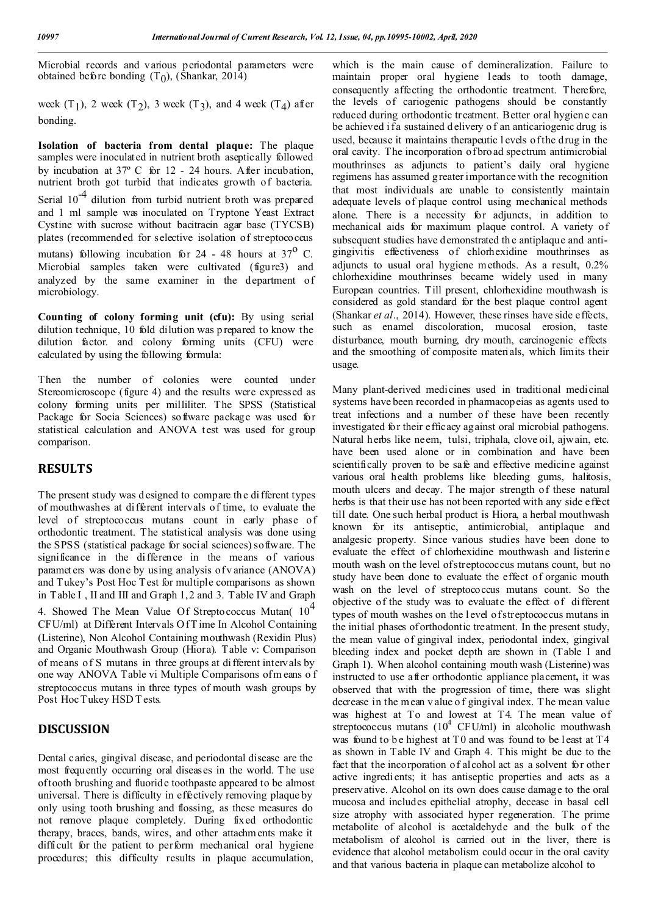Microbial records and various periodontal parameters were obtained before bonding  $(T_0)$ , (Shankar, 2014)

week  $(T_1)$ , 2 week  $(T_2)$ , 3 week  $(T_3)$ , and 4 week  $(T_4)$  after bonding.

**Isolation of bacteria from dental plaque:** The plaque samples were inoculated in nutrient broth aseptically followed by incubation at 37º C for 12 - 24 hours. After incubation, nutrient broth got turbid that indicates growth of bacteria. Serial  $10^{-4}$  dilution from turbid nutrient broth was prepared and 1 ml sample was inoculated on Tryptone Yeast Extract Cystine with sucrose without bacitracin agar base (TYCSB) plates (recommended for selective isolation of streptococcus mutans) following incubation for  $24 - 48$  hours at  $37^{\circ}$  C. Microbial samples taken were cultivated (figure3) and analyzed by the same examiner in the department of microbiology.

**Counting of colony forming unit (cfu):** By using serial dilution technique, 10 fold dilution was p repared to know the dilution factor. and colony forming units (CFU) were calculated by using the following formula:

Then the number of colonies were counted under Stereomicroscope (figure 4) and the results were expressed as colony forming units per milliliter. The SPSS (Statistical Package for Socia Sciences) software package was used for statistical calculation and ANOVA test was used for group comparison.

## **RESULTS**

The present study was d esigned to compare the different types of mouthwashes at different intervals of time, to evaluate the level of streptococcus mutans count in early phase of orthodontic treatment. The statistical analysis was done using the SPSS (statistical package for social sciences) software. The significance in the difference in the means of various parameters was done by using analysis of v ariance (ANOVA) and Tukey's Post Hoc Test for multiple comparisons as shown in Table I , II and III and Graph 1,2 and 3. Table IV and Graph 4. Showed The Mean Value Of Streptococcus Mutan( $10<sup>4</sup>$ CFU/ml) at Different Intervals Of T ime In Alcohol Containing (Listerine), Non Alcohol Containing mouthwash (Rexidin Plus) and Organic Mouthwash Group (Hiora). Table v: Comparison of means of S mutans in three groups at different intervals by one way ANOVA Table vi Multiple Comparisons of m eans o f streptococcus mutans in three types of mouth wash groups by Post Hoc Tukey HSD T ests.

#### **DISCUSSION**

Dental caries, gingival disease, and periodontal disease are the most frequently occurring oral diseases in the world. T he use of tooth brushing and fluoride toothpaste appeared to be almost universal. There is difficulty in effectively removing plaque by only using tooth brushing and flossing, as these measures do not remove plaque completely. During fixed orthodontic therapy, braces, bands, wires, and other attachments make it difficult for the patient to perform mechanical oral hygiene procedures; this difficulty results in plaque accumulation,

which is the main cause of demineralization. Failure to maintain proper oral hygiene leads to tooth damage, consequently affecting the orthodontic treatment. Therefore, the levels of cariogenic pathogens should be constantly reduced during orthodontic treatment. Better oral hygiene can be achieved i fa sustained delivery of an anticariogenic drug is used, because it maintains therapeutic l evels of the drug in the oral cavity. The incorporation of broad spectrum antimicrobial mouthrinses as adjuncts to patient's daily oral hygiene regimens has assumed greater importance with the recognition that most individuals are unable to consistently maintain adequate levels of plaque control using mechanical methods alone. There is a necessity for adjuncts, in addition to mechanical aids for maximum plaque control. A variety of subsequent studies have demonstrated th e antiplaque and antigingivitis effectiveness of chlorhexidine mouthrinses as adjuncts to usual oral hygiene methods. As a result, 0.2% chlorhexidine mouthrinses became widely used in many European countries. Till present, chlorhexidine mouthwash is considered as gold standard for the best plaque control agent (Shankar *et al*., 2014). However, these rinses have side effects, such as enamel discoloration, mucosal erosion, taste disturbance, mouth burning, dry mouth, carcinogenic effects and the smoothing of composite materials, which limits their usage.

Many plant-derived medicines used in traditional medicinal systems have been recorded in pharmacopeias as agents used to treat infections and a number of these have been recently investigated for their efficacy against oral microbial pathogens. Natural herbs like neem, tulsi, triphala, clove oil, ajwain, etc. have been used alone or in combination and have been scientifically proven to be safe and effective medicine against various oral health problems like bleeding gums, halitosis, mouth ulcers and decay. The major strength of these natural herbs is that their use has not been reported with any side effect till date. One such herbal product is Hiora, a herbal mouthwash known for its antiseptic, antimicrobial, antiplaque and analgesic property. Since various studies have been done to evaluate the effect of chlorhexidine mouthwash and listerine mouth wash on the level of streptococcus mutans count, but no study have been done to evaluate the effect of organic mouth wash on the level of streptococcus mutans count. So the objective of the study was to evaluate the effect of different types of mouth washes on the l evel of streptococcus mutans in the initial phases of orthodontic treatment. In the present study, the mean value of gingival index, periodontal index, gingival bleeding index and pocket depth are shown in (Table I and Graph 1**)**. When alcohol containing mouth wash (Listerine) was instructed to use after orthodontic appliance placement**,** it was observed that with the progression of time, there was slight decrease in the m ean v alue o f gingival index. T he mean value was highest at To and lowest at T4. The mean value of streptococcus mutans  $(10^4 \text{ CFU/ml})$  in alcoholic mouthwash was found to be highest at T0 and was found to be least at T4 as shown in Table IV and Graph 4. This might be due to the fact that the incorporation of alcohol act as a solvent for other active ingredients; it has antiseptic properties and acts as a preservative. Alcohol on its own does cause damage to the oral mucosa and includes epithelial atrophy, decease in basal cell size atrophy with associated hyper regeneration. The prime metabolite of alcohol is acetaldehyde and the bulk of the metabolism of alcohol is carried out in the liver, there is evidence that alcohol metabolism could occur in the oral cavity and that various bacteria in plaque can metabolize alcohol to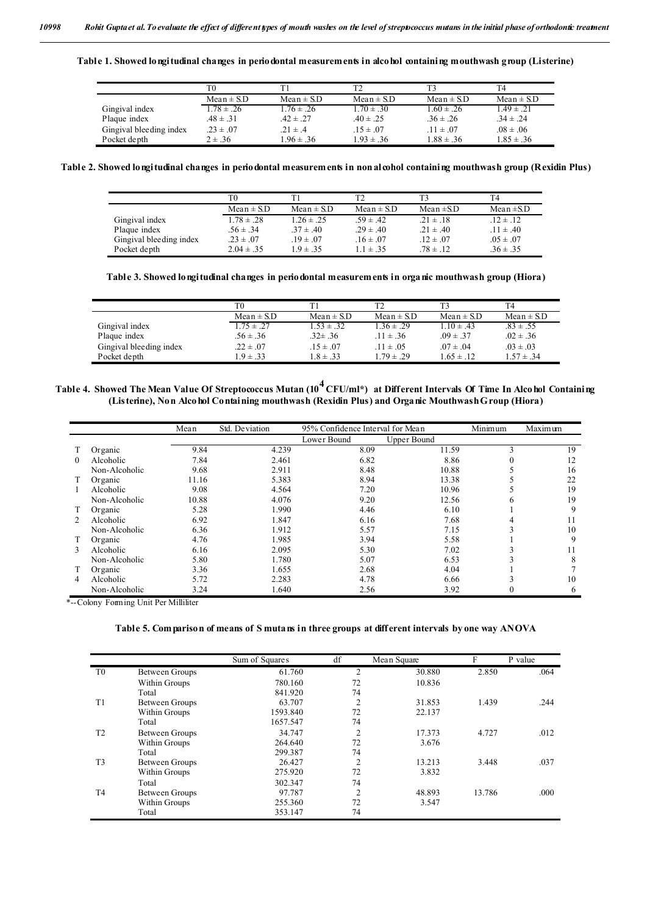**Table 1. Showed longitudinal changes in periodontal measurements in alcohol containing mouthwash group (Listerine)**

|                         | T <sub>0</sub>  | T1             | T <sub>2</sub> | Тĩ             | T <sub>4</sub> |
|-------------------------|-----------------|----------------|----------------|----------------|----------------|
|                         | Mean $\pm$ S.D. | $Mean \pm SD$  | Mean $\pm$ S.D | Mean $\pm$ S.D | $Mean \pm S.D$ |
| Gingival index          | $1.78 \pm .26$  | $1.76 \pm .26$ | $1.70 \pm .30$ | $1.60 \pm .26$ | $1.49 \pm .21$ |
| Plaque index            | $.48 \pm .31$   | $.42 \pm .27$  | $.40 \pm .25$  | $.36 \pm .26$  | $.34 \pm .24$  |
| Gingival bleeding index | $.23 \pm .07$   | $.21 \pm .4$   | $.15 \pm .07$  | $.11 \pm .07$  | $.08 \pm .06$  |
| Pocket depth            | $2 \pm .36$     | $1.96 \pm .36$ | $1.93 \pm .36$ | $1.88 \pm .36$ | $1.85 \pm .36$ |

**Table 2. Showed longitudinal changes in periodontal measurements in non alcohol containing mouthwash group (Rexidin Plus)**

|                         | T0             | Τ١             |                | T3             | T4             |
|-------------------------|----------------|----------------|----------------|----------------|----------------|
|                         | $Mean \pm S.D$ | $Mean \pm SD$  | $Mean \pm S.D$ | Mean $\pm$ S.D | Mean $\pm$ S.D |
| Gingival index          | $1.78 \pm .28$ | $1.26 \pm .25$ | $.59 \pm .42$  | $.21 \pm .18$  | $.12 \pm .12$  |
| Plaque index            | $.56 \pm .34$  | $.37 \pm .40$  | $.29 \pm .40$  | $.21 \pm .40$  | $.11 \pm .40$  |
| Gingival bleeding index | $.23 \pm .07$  | $.19 \pm .07$  | $.16 \pm .07$  | $.12 \pm .07$  | $.05 \pm .07$  |
| Pocket depth            | $2.04 \pm .35$ | $1.9 \pm .35$  | $1.1 \pm .35$  | $.78 \pm .12$  | $.36 \pm .35$  |

**Table 3. Showed longitudinal changes in periodontal measurements in organic mouthwash group (Hiora)**

|                         | T0             |                | ፐን             |                | T4             |
|-------------------------|----------------|----------------|----------------|----------------|----------------|
|                         | $Mean \pm S.D$ | Mean $\pm$ S.D | Mean $\pm$ S.D | Mean $\pm$ S.D | $Mean \pm S.D$ |
| Gingival index          | $1.75 \pm .27$ | $.53 \pm .32$  | $.36 \pm .29$  | $1.10 \pm .43$ | $.83 \pm .55$  |
| Plaque index            | $.56 \pm .36$  | $.32 \pm .36$  | $.11 \pm .36$  | $.09 \pm .37$  | $.02 \pm .36$  |
| Gingival bleeding index | $.22 \pm .07$  | $.15 \pm .07$  | $.11 \pm .05$  | $.07 \pm .04$  | $.03 \pm .03$  |
| Pocket depth            | $1.9 \pm .33$  | $1.8 \pm .33$  | $1.79 \pm .29$ | $1.65 \pm .12$ | $1.57 \pm .34$ |

**Table 4. Showed The Mean Value Of Streptococcus Mutan (104 CFU/ml\*) at Different Intervals Of Time In Alcohol Containing (Listerine), Non Alcohol Containing mouthwash (Rexidin Plus) and Organic Mouthwash Group (Hiora)**

|               |               | Mean  | Std. Deviation | 95% Confidence Interval for Mean |             | Minimum | Maximum |
|---------------|---------------|-------|----------------|----------------------------------|-------------|---------|---------|
|               |               |       |                | Lower Bound                      | Upper Bound |         |         |
| T             | Organic       | 9.84  | 4.239          | 8.09                             | 11.59       | 3       | 19      |
| $\Omega$      | Alcoholic     | 7.84  | 2.461          | 6.82                             | 8.86        |         | 12      |
|               | Non-Alcoholic | 9.68  | 2.911          | 8.48                             | 10.88       |         | 16      |
| T.            | Organic       | 11.16 | 5.383          | 8.94                             | 13.38       |         | 22      |
|               | Alcoholic     | 9.08  | 4.564          | 7.20                             | 10.96       |         | 19      |
|               | Non-Alcoholic | 10.88 | 4.076          | 9.20                             | 12.56       | h       | 19      |
|               | Organic       | 5.28  | 1.990          | 4.46                             | 6.10        |         | 9       |
| 2             | Alcoholic     | 6.92  | 1.847          | 6.16                             | 7.68        |         | 11      |
|               | Non-Alcoholic | 6.36  | 1.912          | 5.57                             | 7.15        |         | 10      |
|               | Organic       | 4.76  | 1.985          | 3.94                             | 5.58        |         | 9       |
| $\mathcal{F}$ | Alcoholic     | 6.16  | 2.095          | 5.30                             | 7.02        |         | 11      |
|               | Non-Alcoholic | 5.80  | 1.780          | 5.07                             | 6.53        |         | 8       |
| T             | Organic       | 3.36  | 1.655          | 2.68                             | 4.04        |         |         |
| 4             | Alcoholic     | 5.72  | 2.283          | 4.78                             | 6.66        |         | 10      |
|               | Non-Alcoholic | 3.24  | 1.640          | 2.56                             | 3.92        |         | 6       |

\*--Colony Forming Unit Per Milliliter

#### **Table 5. Comparison of means of S mutans in three groups at different intervals by one way ANOVA**

|                |                | Sum of Squares | df             | Mean Square | F      | P value |
|----------------|----------------|----------------|----------------|-------------|--------|---------|
| T <sub>0</sub> | Between Groups | 61.760         | $\overline{2}$ | 30.880      | 2.850  | .064    |
|                | Within Groups  | 780.160        | 72             | 10.836      |        |         |
|                | Total          | 841.920        | 74             |             |        |         |
| T1             | Between Groups | 63.707         | $\overline{2}$ | 31.853      | 1.439  | .244    |
|                | Within Groups  | 1593.840       | 72             | 22.137      |        |         |
|                | Total          | 1657.547       | 74             |             |        |         |
| T <sub>2</sub> | Between Groups | 34.747         | $\overline{2}$ | 17.373      | 4.727  | .012    |
|                | Within Groups  | 264.640        | 72             | 3.676       |        |         |
|                | Total          | 299.387        | 74             |             |        |         |
| T <sub>3</sub> | Between Groups | 26.427         | $\overline{2}$ | 13.213      | 3.448  | .037    |
|                | Within Groups  | 275.920        | 72             | 3.832       |        |         |
|                | Total          | 302.347        | 74             |             |        |         |
| T4             | Between Groups | 97.787         | $\overline{2}$ | 48.893      | 13.786 | .000    |
|                | Within Groups  | 255.360        | 72             | 3.547       |        |         |
|                | Total          | 353.147        | 74             |             |        |         |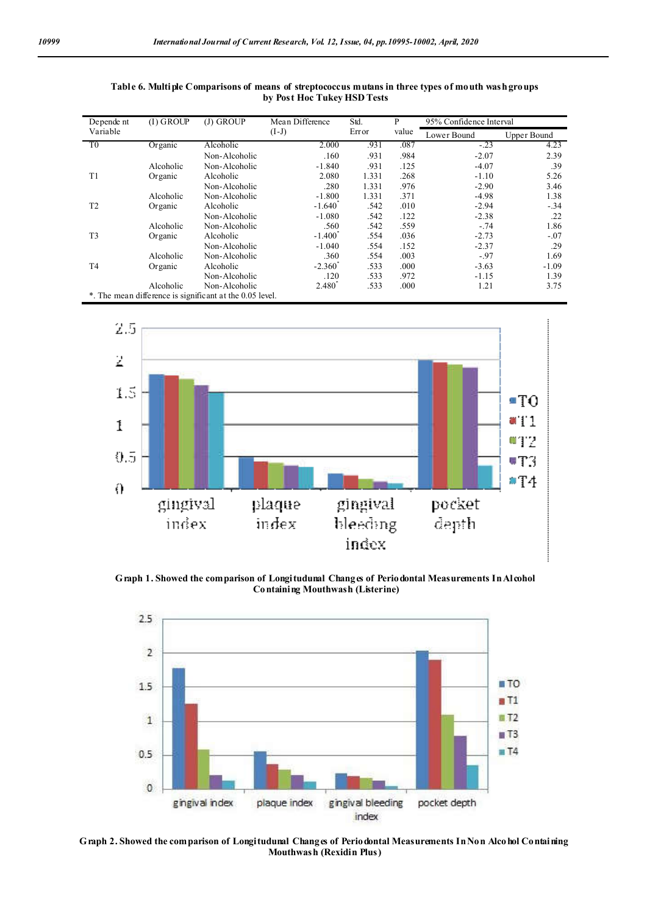| Depende nt                                               | $(I)$ GROUP | (J) GROUP     | Mean Difference  | Std.  | P     | 95% Confidence Interval |             |
|----------------------------------------------------------|-------------|---------------|------------------|-------|-------|-------------------------|-------------|
| Variable                                                 |             |               | $(I-J)$          | Error | value | Lower Bound             | Upper Bound |
| T <sub>0</sub>                                           | Organic     | Alcoholic     | 2.000            | .931  | .087  | $-23$                   | 4.23        |
|                                                          |             | Non-Alcoholic | .160             | .931  | .984  | $-2.07$                 | 2.39        |
|                                                          | Alcoholic   | Non-Alcoholic | $-1.840$         | .931  | .125  | $-4.07$                 | .39         |
| T <sub>1</sub>                                           | Organic     | Alcoholic     | 2.080            | 1.331 | .268  | $-1.10$                 | 5.26        |
|                                                          |             | Non-Alcoholic | .280             | 1.331 | .976  | $-2.90$                 | 3.46        |
|                                                          | Alcoholic   | Non-Alcoholic | $-1.800$         | 1.331 | .371  | $-4.98$                 | 1.38        |
| T <sub>2</sub>                                           | Organic     | Alcoholic     | $-1.640^*$       | .542  | .010  | $-2.94$                 | $-.34$      |
|                                                          |             | Non-Alcoholic | $-1.080$         | .542  | .122  | $-2.38$                 | .22         |
|                                                          | Alcoholic   | Non-Alcoholic | .560             | .542  | .559  | $-.74$                  | 1.86        |
| T <sub>3</sub>                                           | Organic     | Alcoholic     | $-1.400^{\circ}$ | .554  | .036  | $-2.73$                 | $-.07$      |
|                                                          |             | Non-Alcoholic | $-1.040$         | .554  | .152  | $-2.37$                 | .29         |
|                                                          | Alcoholic   | Non-Alcoholic | .360             | .554  | .003  | $-.97$                  | 1.69        |
| T <sub>4</sub>                                           | Organic     | Alcoholic     | $-2.360$         | .533  | .000  | $-3.63$                 | $-1.09$     |
|                                                          |             | Non-Alcoholic | .120             | .533  | .972  | $-1.15$                 | 1.39        |
|                                                          | Alcoholic   | Non-Alcoholic | 2.480            | .533  | .000  | 1.21                    | 3.75        |
| *. The mean difference is significant at the 0.05 level. |             |               |                  |       |       |                         |             |

| Table 6. Multiple Comparisons of means of streptococcus mutans in three types of mouth washgroups |  |
|---------------------------------------------------------------------------------------------------|--|
| by Post Hoc Tukey HSD Tests                                                                       |  |



**Graph 1. Showed the comparison of Longitudunal Changes of Periodontal Measurements In Alcohol Containing Mouthwash (Listerine)**



**Graph 2. Showed the comparison of Longitudunal Changes of Periodontal Measurements In Non Alcohol Containing Mouthwash (Rexidin Plus)**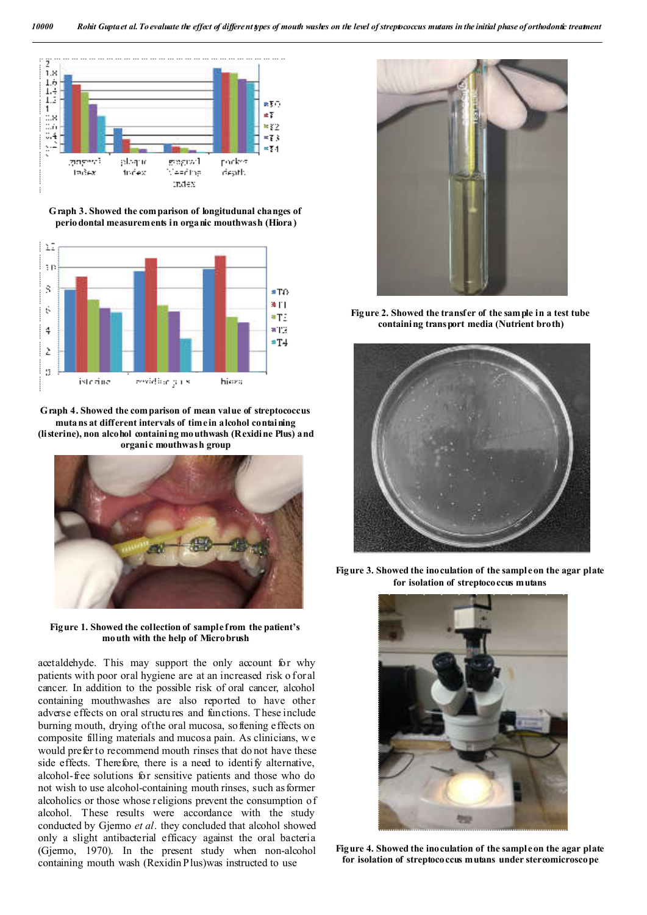

**Graph 3. Showed the comparison of longitudunal changes of periodontal measurements in organic mouthwash (Hiora)**



**Graph 4. Showed the comparison of mean value of streptococcus mutans at different intervals of time in alcohol containing (listerine), non alcohol containing mouthwash (Rexidine Plus) and organic mouthwash group**



**Figure 1. Showed the collection of sample from the patient's mouth with the help of Microbrush**

acetaldehyde. This may support the only account for why patients with poor oral hygiene are at an increased risk of oral cancer. In addition to the possible risk of oral cancer, alcohol containing mouthwashes are also reported to have other adverse effects on oral structures and functions. T hese include burning mouth, drying of the oral mucosa, softening effects on composite filling materials and mucosa pain. As clinicians, w e would prefer to recommend mouth rinses that do not have these side effects. Therefore, there is a need to identify alternative, alcohol-free solutions for sensitive patients and those who do not wish to use alcohol-containing mouth rinses, such as former alcoholics or those whose religions prevent the consumption of alcohol. These results were accordance with the study conducted by Gjermo *et al*. they concluded that alcohol showed only a slight antibacterial efficacy against the oral bacteria (Gjermo, 1970). In the present study when non-alcohol containing mouth wash (Rexidin Plus)was instructed to use



**Figure 2. Showed the transfer of the sample in a test tube containing transport media (Nutrient broth)**



**Figure 3. Showed the inoculation of the sample on the agar plate for isolation of streptococcus mutans**



**Figure 4. Showed the inoculation of the sample on the agar plate for isolation of streptococcus mutans under stereomicroscope**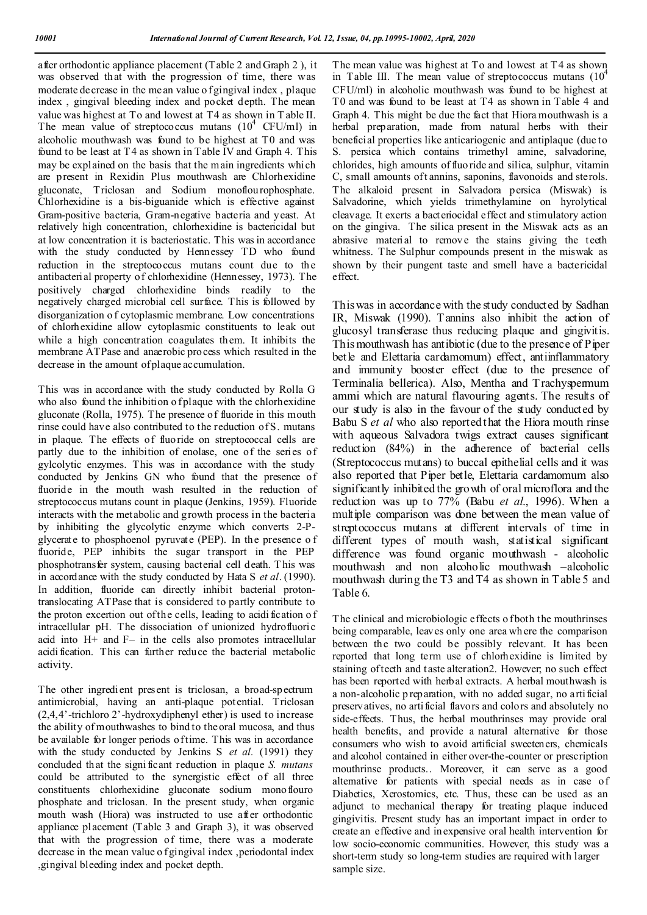after orthodontic appliance placement (Table 2 and Graph 2 ), it was observed that with the progression of time, there was moderate decrease in the mean value o f gingival index, plaque index , gingival bleeding index and pocket depth. The mean value was highest at To and lowest at T4 as shown in T able II. The mean value of streptococcus mutans  $(10^4 \text{ CFU/ml})$  in alcoholic mouthwash was found to be highest at T0 and was found to be least at T4 as shown in Table IV and Graph 4. This may be explained on the basis that the m ain ingredients which are present in Rexidin Plus mouthwash are Chlorhexidine gluconate, Triclosan and Sodium monoflourophosphate. Chlorhexidine is a bis-biguanide which is effective against Gram-positive bacteria, Gram-negative bacteria and yeast. At relatively high concentration, chlorhexidine is bactericidal but at low concentration it is bacteriostatic. This was in accordance with the study conducted by Hennessey TD who found reduction in the streptococcus mutans count due to the antibacterial property of chlorhexidine (Hennessey, 1973). The positively charged chlorhexidine binds readily to the negatively charged microbial cell surface. This is followed by disorganization o f cytoplasmic membrane. Low concentrations of chlorhexidine allow cytoplasmic constituents to leak out while a high concentration coagulates them. It inhibits the membrane ATPase and anaerobic process which resulted in the decrease in the amount of plaque accumulation.

This was in accordance with the study conducted by Rolla G who also found the inhibition o f plaque with the chlorhexidine gluconate (Rolla, 1975). The presence of fluoride in this mouth rinse could have also contributed to the reduction of S. mutans in plaque. The effects of fluoride on streptococcal cells are partly due to the inhibition of enolase, one of the series of gylcolytic enzymes. This was in accordance with the study conducted by Jenkins GN who found that the presence of fluoride in the mouth wash resulted in the reduction of streptococcus mutans count in plaque (Jenkins, 1959). Fluoride interacts with the metabolic and growth process in the bacteria by inhibiting the glycolytic enzyme which converts 2-Pglycerate to phosphoenol pyruvate (PEP). In the presence o f fluoride, PEP inhibits the sugar transport in the PEP phosphotransfer system, causing bacterial cell death. T his was in accordance with the study conducted by Hata S *et al*. (1990). In addition, fluoride can directly inhibit bacterial protontranslocating ATPase that is considered to partly contribute to the proton excertion out of the cells, leading to acidi fication o f intracellular pH. The dissociation of unionized hydrofluoric acid into H+ and F– in the cells also promotes intracellular acidi fication. This can further reduce the bacterial metabolic activity.

The other ingredient present is triclosan, a broad-spectrum antimicrobial, having an anti-plaque potential. Triclosan (2,4,4'-trichloro 2'-hydroxydiphenyl ether) is used to increase the ability of mouthwashes to bind to the oral mucosa, and thus be available for longer periods of time. This was in accordance with the study conducted by Jenkins S *et al.* (1991) they concluded that the signi ficant reduction in plaque *S. mutans*  could be attributed to the synergistic effect of all three constituents chlorhexidine gluconate sodium monoflouro phosphate and triclosan. In the present study, when organic mouth wash (Hiora) was instructed to use after orthodontic appliance placement (Table 3 and Graph 3), it was observed that with the progression of time, there was a moderate decrease in the mean value o f gingival index , periodontal index ,gingival bleeding index and pocket depth.

The mean value was highest at To and lowest at T4 as shown in Table III. The mean value of streptococcus mutans  $(10^4)$ CFU/ml) in alcoholic mouthwash was found to be highest at T0 and was found to be least at T4 as shown in Table 4 and Graph 4. This might be due the fact that Hiora mouthwash is a herbal preparation, made from natural herbs with their beneficial properties like anticariogenic and antiplaque (due to S. persica which contains trimethyl amine, salvadorine, chlorides, high amounts of fluoride and silica, sulphur, vitamin C, small amounts of t annins, saponins, flavonoids and sterols. The alkaloid present in Salvadora persica (Miswak) is Salvadorine, which yields trimethylamine on hyrolytical cleavage. It exerts a bacteriocidal effect and stimulatory action on the gingiva. The silica present in the Miswak acts as an abrasive material to remove the stains giving the teeth whitness. The Sulphur compounds present in the miswak as shown by their pungent taste and smell have a bactericidal effect.

This was in accordance with the study conducted by Sadhan IR, Miswak (1990). Tannins also inhibit the action of glucosyl transferase thus reducing plaque and gingivitis. This mouthwash has antibiotic (due to the presence of Piper betle and Elettaria cardamomum) effect, antiinflammatory and immunity booster effect (due to the presence of Terminalia bellerica). Also, Mentha and Trachyspermum ammi which are natural flavouring agents. The results of our study is also in the favour of the study conducted by Babu S *et al* who also reported that the Hiora mouth rinse with aqueous Salvadora twigs extract causes significant reduction (84%) in the adherence of bacterial cells (Streptococcus mutans) to buccal epithelial cells and it was also reported that Piper betle, Elettaria cardamomum also significantly inhibited the growth of oral microflora and the reduction was up to 77% (Babu *et al*., 1996). When a multiple comparison was done between the mean value of streptococcus mutans at different intervals of time in different types of mouth wash, statistical significant difference was found organic mouthwash - alcoholic mouthwash and non alcoholic mouthwash –alcoholic mouthwash during the T3 and T4 as shown in Table 5 and Table 6.

The clinical and microbiologic effects of both the mouthrinses being comparable, leaves only one area wh ere the comparison between the two could be possibly relevant. It has been reported that long term use of chlorhexidine is limited by staining of teeth and t aste alteration2. However; no such effect has been reported with herbal extracts. A herbal mouthwash is a non-alcoholic p reparation, with no added sugar, no artificial preservatives, no artificial flavors and colors and absolutely no side-effects. Thus, the herbal mouthrinses may provide oral health benefits, and provide a natural alternative for those consumers who wish to avoid artificial sweeteners, chemicals and alcohol contained in either over-the-counter or prescription mouthrinse products.. Moreover, it can serve as a good alternative for patients with special needs as in case of Diabetics, Xerostomics, etc. Thus, these can be used as an adjunct to mechanical therapy for treating plaque induced gingivitis. Present study has an important impact in order to create an effective and inexpensive oral health intervention for low socio-economic communities. However, this study was a short-term study so long-term studies are required with larger sample size.